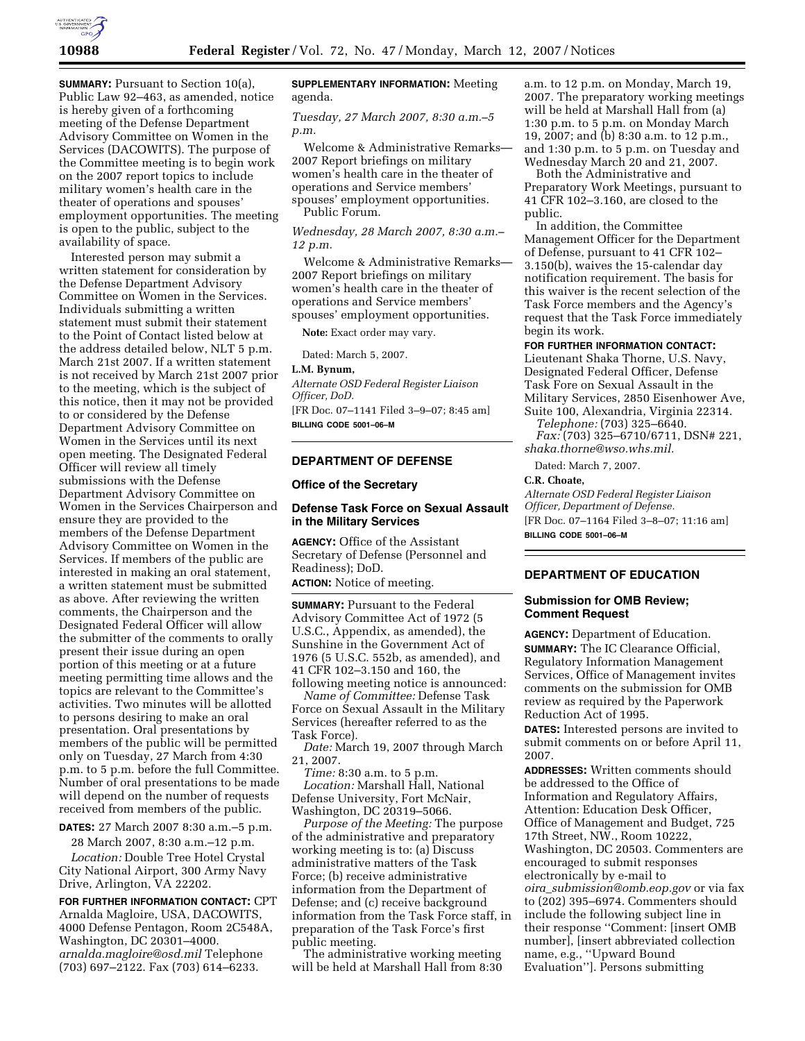

**SUMMARY:** Pursuant to Section 10(a), Public Law 92–463, as amended, notice is hereby given of a forthcoming meeting of the Defense Department Advisory Committee on Women in the Services (DACOWITS). The purpose of the Committee meeting is to begin work on the 2007 report topics to include military women's health care in the theater of operations and spouses' employment opportunities. The meeting is open to the public, subject to the availability of space.

Interested person may submit a written statement for consideration by the Defense Department Advisory Committee on Women in the Services. Individuals submitting a written statement must submit their statement to the Point of Contact listed below at the address detailed below, NLT 5 p.m. March 21st 2007. If a written statement is not received by March 21st 2007 prior to the meeting, which is the subject of this notice, then it may not be provided to or considered by the Defense Department Advisory Committee on Women in the Services until its next open meeting. The Designated Federal Officer will review all timely submissions with the Defense Department Advisory Committee on Women in the Services Chairperson and ensure they are provided to the members of the Defense Department Advisory Committee on Women in the Services. If members of the public are interested in making an oral statement, a written statement must be submitted as above. After reviewing the written comments, the Chairperson and the Designated Federal Officer will allow the submitter of the comments to orally present their issue during an open portion of this meeting or at a future meeting permitting time allows and the topics are relevant to the Committee's activities. Two minutes will be allotted to persons desiring to make an oral presentation. Oral presentations by members of the public will be permitted only on Tuesday, 27 March from 4:30 p.m. to 5 p.m. before the full Committee. Number of oral presentations to be made will depend on the number of requests received from members of the public.

**DATES:** 27 March 2007 8:30 a.m.–5 p.m.

28 March 2007, 8:30 a.m.–12 p.m. *Location:* Double Tree Hotel Crystal City National Airport, 300 Army Navy Drive, Arlington, VA 22202.

**FOR FURTHER INFORMATION CONTACT:** CPT Arnalda Magloire, USA, DACOWITS, 4000 Defense Pentagon, Room 2C548A, Washington, DC 20301–4000. *arnalda.magloire@osd.mil* Telephone (703) 697–2122. Fax (703) 614–6233.

# **SUPPLEMENTARY INFORMATION:** Meeting agenda.

### *Tuesday, 27 March 2007, 8:30 a.m.–5 p.m.*

Welcome & Administrative Remarks— 2007 Report briefings on military women's health care in the theater of operations and Service members' spouses' employment opportunities. Public Forum.

*Wednesday, 28 March 2007, 8:30 a.m.– 12 p.m.* 

Welcome & Administrative Remarks— 2007 Report briefings on military women's health care in the theater of operations and Service members' spouses' employment opportunities.

**Note:** Exact order may vary.

Dated: March 5, 2007.

**L.M. Bynum,** 

*Alternate OSD Federal Register Liaison Officer, DoD.*  [FR Doc. 07–1141 Filed 3–9–07; 8:45 am] **BILLING CODE 5001–06–M** 

# **DEPARTMENT OF DEFENSE**

#### **Office of the Secretary**

# **Defense Task Force on Sexual Assault in the Military Services**

**AGENCY:** Office of the Assistant Secretary of Defense (Personnel and Readiness); DoD. **ACTION:** Notice of meeting.

**SUMMARY:** Pursuant to the Federal Advisory Committee Act of 1972 (5 U.S.C., Appendix, as amended), the Sunshine in the Government Act of 1976 (5 U.S.C. 552b, as amended), and 41 CFR 102–3.150 and 160, the following meeting notice is announced:

*Name of Committee:* Defense Task Force on Sexual Assault in the Military Services (hereafter referred to as the Task Force).

*Date:* March 19, 2007 through March 21, 2007.

*Time:* 8:30 a.m. to 5 p.m.

*Location:* Marshall Hall, National Defense University, Fort McNair, Washington, DC 20319–5066.

*Purpose of the Meeting:* The purpose of the administrative and preparatory working meeting is to: (a) Discuss administrative matters of the Task Force; (b) receive administrative information from the Department of Defense; and (c) receive background information from the Task Force staff, in preparation of the Task Force's first public meeting.

The administrative working meeting will be held at Marshall Hall from 8:30

a.m. to 12 p.m. on Monday, March 19, 2007. The preparatory working meetings will be held at Marshall Hall from (a) 1:30 p.m. to 5 p.m. on Monday March 19, 2007; and (b) 8:30 a.m. to 12 p.m., and 1:30 p.m. to 5 p.m. on Tuesday and Wednesday March 20 and 21, 2007.

Both the Administrative and Preparatory Work Meetings, pursuant to 41 CFR 102–3.160, are closed to the public.

In addition, the Committee Management Officer for the Department of Defense, pursuant to 41 CFR 102– 3.150(b), waives the 15-calendar day notification requirement. The basis for this waiver is the recent selection of the Task Force members and the Agency's request that the Task Force immediately begin its work.

# **FOR FURTHER INFORMATION CONTACT:**

Lieutenant Shaka Thorne, U.S. Navy, Designated Federal Officer, Defense Task Fore on Sexual Assault in the Military Services, 2850 Eisenhower Ave, Suite 100, Alexandria, Virginia 22314.

*Telephone:* (703) 325–6640. *Fax:* (703) 325–6710/6711, DSN# 221,

*shaka.thorne@wso.whs.mil.* 

Dated: March 7, 2007.

# **C.R. Choate,**

*Alternate OSD Federal Register Liaison Officer, Department of Defense.*  [FR Doc. 07–1164 Filed 3–8–07; 11:16 am] **BILLING CODE 5001–06–M** 

# **DEPARTMENT OF EDUCATION**

### **Submission for OMB Review; Comment Request**

**AGENCY:** Department of Education. **SUMMARY:** The IC Clearance Official, Regulatory Information Management Services, Office of Management invites comments on the submission for OMB review as required by the Paperwork Reduction Act of 1995.

**DATES:** Interested persons are invited to submit comments on or before April 11, 2007.

**ADDRESSES:** Written comments should be addressed to the Office of Information and Regulatory Affairs, Attention: Education Desk Officer, Office of Management and Budget, 725 17th Street, NW., Room 10222, Washington, DC 20503. Commenters are encouraged to submit responses electronically by e-mail to *oira*\_*submission@omb.eop.gov* or via fax to (202) 395–6974. Commenters should include the following subject line in their response ''Comment: [insert OMB number], [insert abbreviated collection name, e.g., ''Upward Bound Evaluation'']. Persons submitting